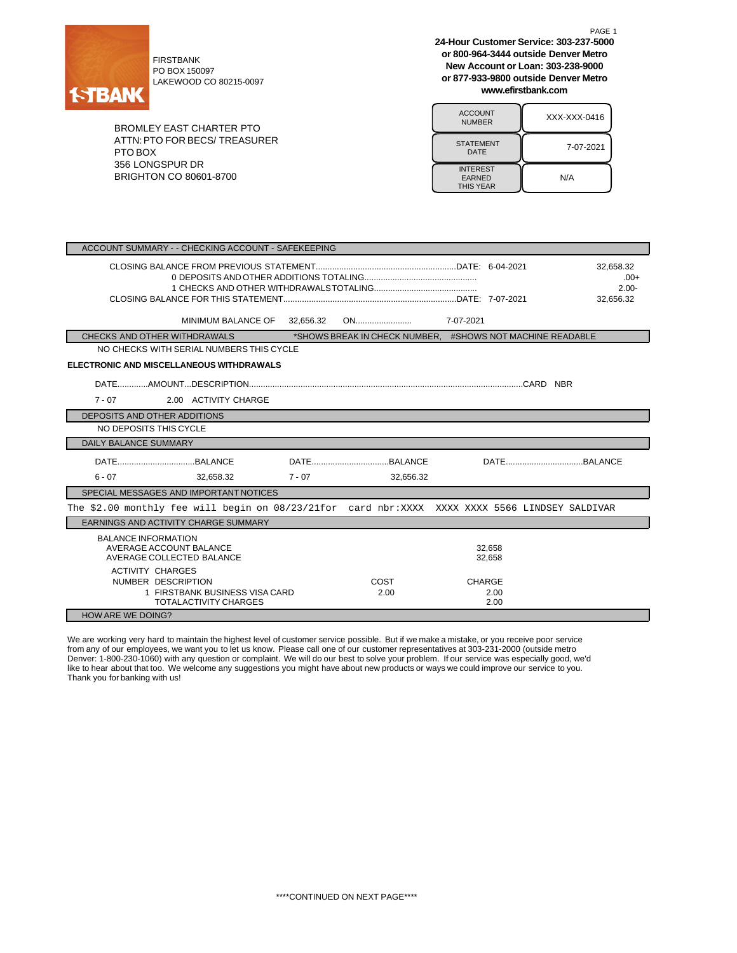

PO BOX 150097 LAKEWOOD CO 80215-0097

BROMLEY EAST CHARTER PTO ATTN:PTO FOR BECS/ TREASURER PTO BOX 356 LONGSPUR DR BRIGHTON CO 80601-8700

**24-Hour Customer Service: 303-237-5000 or 800-964-3444 outside Denver Metro New Account or Loan: 303-238-9000 or 877-933-9800 outside Denver Metro www.efirstbank.com**

PAGE 1

| <b>ACCOUNT</b><br><b>NUMBER</b>                      | XXX-XXX-0416 |
|------------------------------------------------------|--------------|
| <b>STATEMENT</b><br>DATE                             | 7-07-2021    |
| <b>INTEREST</b><br><b>EARNED</b><br><b>THIS YEAR</b> | N/A          |

| ACCOUNT SUMMARY - - CHECKING ACCOUNT - SAFEKEEPING                        |                                                                                                  |           |  |                                                           |               |                  |  |                                              |
|---------------------------------------------------------------------------|--------------------------------------------------------------------------------------------------|-----------|--|-----------------------------------------------------------|---------------|------------------|--|----------------------------------------------|
|                                                                           |                                                                                                  |           |  |                                                           |               |                  |  | 32,658.32<br>$.00+$<br>$2.00 -$<br>32.656.32 |
|                                                                           | MINIMUM BALANCE OF                                                                               | 32,656.32 |  |                                                           |               |                  |  |                                              |
| CHECKS AND OTHER WITHDRAWALS                                              |                                                                                                  |           |  | *SHOWS BREAK IN CHECK NUMBER. #SHOWS NOT MACHINE READABLE |               |                  |  |                                              |
|                                                                           | NO CHECKS WITH SERIAL NUMBERS THIS CYCLE                                                         |           |  |                                                           |               |                  |  |                                              |
|                                                                           | ELECTRONIC AND MISCELLANEOUS WITHDRAWALS                                                         |           |  |                                                           |               |                  |  |                                              |
|                                                                           |                                                                                                  |           |  |                                                           |               |                  |  |                                              |
| $7 - 07$                                                                  | 2.00 ACTIVITY CHARGE                                                                             |           |  |                                                           |               |                  |  |                                              |
| DEPOSITS AND OTHER ADDITIONS                                              |                                                                                                  |           |  |                                                           |               |                  |  |                                              |
| NO DEPOSITS THIS CYCLE                                                    |                                                                                                  |           |  |                                                           |               |                  |  |                                              |
| <b>DAILY BALANCE SUMMARY</b>                                              |                                                                                                  |           |  |                                                           |               |                  |  |                                              |
|                                                                           |                                                                                                  |           |  |                                                           |               |                  |  |                                              |
| $6 - 07$                                                                  | 32.658.32                                                                                        | $7 - 07$  |  | 32.656.32                                                 |               |                  |  |                                              |
|                                                                           | SPECIAL MESSAGES AND IMPORTANT NOTICES                                                           |           |  |                                                           |               |                  |  |                                              |
|                                                                           | The \$2.00 monthly fee will begin on 08/23/21 for card nbr: XXXX XXXX XXXX 5566 LINDSEY SALDIVAR |           |  |                                                           |               |                  |  |                                              |
|                                                                           | EARNINGS AND ACTIVITY CHARGE SUMMARY                                                             |           |  |                                                           |               |                  |  |                                              |
| <b>BALANCE INFORMATION</b><br>AVERAGE ACCOUNT BALANCE                     | AVERAGE COLLECTED BALANCE                                                                        |           |  |                                                           |               | 32,658<br>32,658 |  |                                              |
| <b>ACTIVITY CHARGES</b><br>NUMBER DESCRIPTION<br><b>HOW ARE WE DOING?</b> | 1 FIRSTBANK BUSINESS VISA CARD<br><b>TOTALACTIVITY CHARGES</b>                                   |           |  | COST<br>2.00                                              | <b>CHARGE</b> | 2.00<br>2.00     |  |                                              |
|                                                                           |                                                                                                  |           |  |                                                           |               |                  |  |                                              |

We are working very hard to maintain the highest level of customer service possible. But if we make a mistake, or you receive poor service from any of our employees, we want you to let us know. Please call one of our customer representatives at 303-231-2000 (outside metro Denver: 1-800-230-1060) with any question or complaint. We will do our best to solve your problem. If our service was especially good, we'd like to hear about that too. We welcome any suggestions you might have about new products or ways we could improve our service to you. Thank you for banking with us!

\*\*\*\*CONTINUED ON NEXT PAGE\*\*\*\*